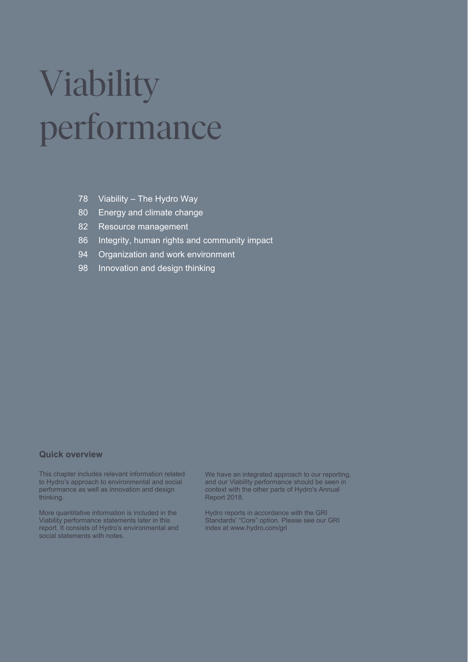# Viability performance

- 78 Viability The Hydro Way
- 80 Energy and climate change
- 82 Resource management
- 86 Integrity, human rights and community impact
- 94 Organization and work environment
- 98 Innovation and design thinking

#### **Quick overview**

This chapter includes relevant information related to Hydro's approach to environmental and social performance as well as innovation and design thinking.

More quantitative information is included in the Viability performance statements later in this report. It consists of Hydro's environmental and social statements with notes.

We have an integrated approach to our reporting, and our Viability performance should be seen in context with the other parts of Hydro's Annual Report 2018.

Hydro reports in accordance with the GRI Standards' "Core" option. Please see our GRI index at www.hydro.com/gri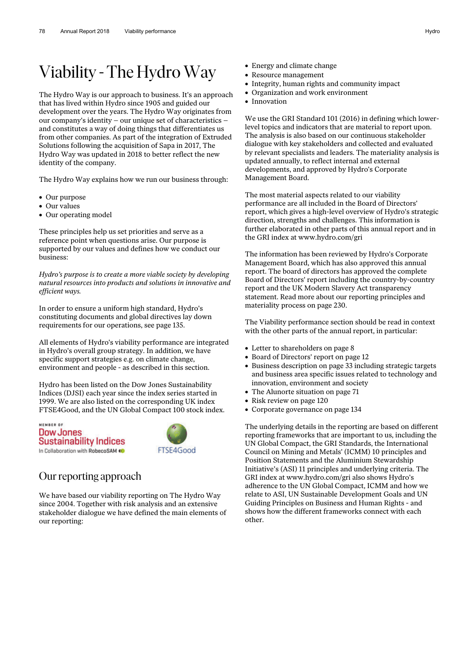# Viability - The Hydro Way

The Hydro Way is our approach to business. It's an approach that has lived within Hydro since 1905 and guided our development over the years. The Hydro Way originates from our company's identity – our unique set of characteristics – and constitutes a way of doing things that differentiates us from other companies. As part of the integration of Extruded Solutions following the acquisition of Sapa in 2017, The Hydro Way was updated in 2018 to better reflect the new identity of the company.

The Hydro Way explains how we run our business through:

- Our purpose
- Our values
- Our operating model

These principles help us set priorities and serve as a reference point when questions arise. Our purpose is supported by our values and defines how we conduct our business:

*Hydro's purpose is to create a more viable society by developing natural resources into products and solutions in innovative and efficient ways.* 

In order to ensure a uniform high standard, Hydro's constituting documents and global directives lay down requirements for our operations, see page 135.

All elements of Hydro's viability performance are integrated in Hydro's overall group strategy. In addition, we have specific support strategies e.g. on climate change, environment and people - as described in this section.

Hydro has been listed on the Dow Jones Sustainability Indices (DJSI) each year since the index series started in 1999. We are also listed on the corresponding UK index FTSE4Good, and the UN Global Compact 100 stock index.

MEMBER OF **Dow Jones Sustainability Indices** In Collaboration with RobecoSAM <



#### Our reporting approach

We have based our viability reporting on The Hydro Way since 2004. Together with risk analysis and an extensive stakeholder dialogue we have defined the main elements of our reporting:

- Energy and climate change
- Resource management
- Integrity, human rights and community impact
- Organization and work environment
- Innovation

We use the GRI Standard 101 (2016) in defining which lowerlevel topics and indicators that are material to report upon. The analysis is also based on our continuous stakeholder dialogue with key stakeholders and collected and evaluated by relevant specialists and leaders. The materiality analysis is updated annually, to reflect internal and external developments, and approved by Hydro's Corporate Management Board.

The most material aspects related to our viability performance are all included in the Board of Directors' report, which gives a high-level overview of Hydro's strategic direction, strengths and challenges. This information is further elaborated in other parts of this annual report and in the GRI index at www.hydro.com/gri

The information has been reviewed by Hydro's Corporate Management Board, which has also approved this annual report. The board of directors has approved the complete Board of Directors' report including the country-by-country report and the UK Modern Slavery Act transparency statement. Read more about our reporting principles and materiality process on page 230.

The Viability performance section should be read in context with the other parts of the annual report, in particular:

- Letter to shareholders on page 8
- Board of Directors' report on page 12
- Business description on page 33 including strategic targets and business area specific issues related to technology and innovation, environment and society
- The Alunorte situation on page 71
- Risk review on page 120
- Corporate governance on page 134

The underlying details in the reporting are based on different reporting frameworks that are important to us, including the UN Global Compact, the GRI Standards, the International Council on Mining and Metals' (ICMM) 10 principles and Position Statements and the Aluminium Stewardship Initiative's (ASI) 11 principles and underlying criteria. The GRI index at www.hydro.com/gri also shows Hydro's adherence to the UN Global Compact, ICMM and how we relate to ASI, UN Sustainable Development Goals and UN Guiding Principles on Business and Human Rights - and shows how the different frameworks connect with each other.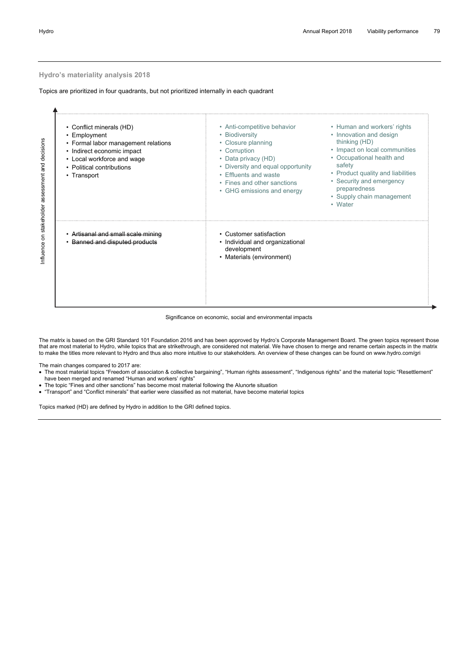#### **Hydro's materiality analysis 2018**

Topics are prioritized in four quadrants, but not prioritized internally in each quadrant

| • Conflict minerals (HD)<br>• Employment<br>• Formal labor management relations<br>• Indirect economic impact<br>• Local workforce and wage<br>• Political contributions<br>• Transport | • Anti-competitive behavior<br>• Biodiversity<br>• Closure planning<br>• Corruption<br>• Data privacy (HD)<br>• Diversity and equal opportunity<br>• Effluents and waste<br>• Fines and other sanctions<br>• GHG emissions and energy | • Human and workers' rights<br>• Innovation and design<br>thinking (HD)<br>• Impact on local communities<br>• Occupational health and<br>safety<br>• Product quality and liabilities<br>• Security and emergency<br>preparedness<br>• Supply chain management<br>• Water |
|-----------------------------------------------------------------------------------------------------------------------------------------------------------------------------------------|---------------------------------------------------------------------------------------------------------------------------------------------------------------------------------------------------------------------------------------|--------------------------------------------------------------------------------------------------------------------------------------------------------------------------------------------------------------------------------------------------------------------------|
| Artisanal and small scale mining<br>Banned and disputed products                                                                                                                        | • Customer satisfaction<br>• Individual and organizational<br>development<br>• Materials (environment)                                                                                                                                |                                                                                                                                                                                                                                                                          |

#### Significance on economic, social and environmental impacts

The matrix is based on the GRI Standard 101 Foundation 2016 and has been approved by Hydro's Corporate Management Board. The green topics represent those that are most material to Hydro, while topics that are strikethrough, are considered not material. We have chosen to merge and rename certain aspects in the matrix to make the titles more relevant to Hydro and thus also more intuitive to our stakeholders. An overview of these changes can be found on www.hydro.com/gri

The main changes compared to 2017 are:

- The most material topics "Freedom of associaton & collective bargaining", "Human rights assessment", "Indigenous rights" and the material topic "Resettlement" have been merged and renamed "Human and workers' rights"
- The topic "Fines and other sanctions" has become most material following the Alunorte situation
- "Transport" and "Conflict minerals" that earlier were classified as not material, have become material topics

Topics marked (HD) are defined by Hydro in addition to the GRI defined topics.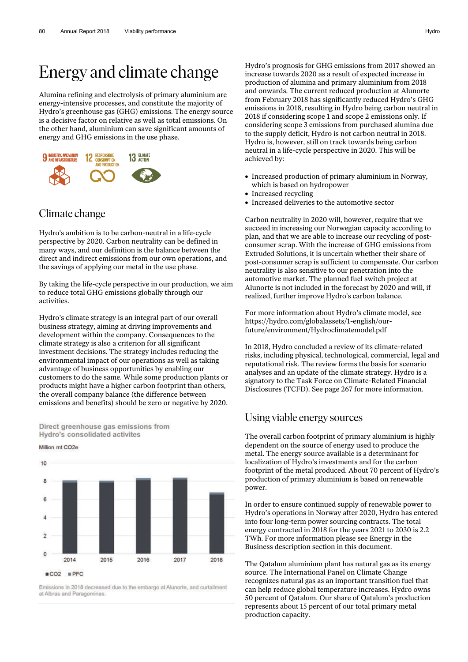# Energy and climate change

Alumina refining and electrolysis of primary aluminium are energy-intensive processes, and constitute the majority of Hydro's greenhouse gas (GHG) emissions. The energy source is a decisive factor on relative as well as total emissions. On the other hand, aluminium can save significant amounts of energy and GHG emissions in the use phase.



#### Climate change

Hydro's ambition is to be carbon-neutral in a life-cycle perspective by 2020. Carbon neutrality can be defined in many ways, and our definition is the balance between the direct and indirect emissions from our own operations, and the savings of applying our metal in the use phase.

By taking the life-cycle perspective in our production, we aim to reduce total GHG emissions globally through our activities.

Hydro's climate strategy is an integral part of our overall business strategy, aiming at driving improvements and development within the company. Consequences to the climate strategy is also a criterion for all significant investment decisions. The strategy includes reducing the environmental impact of our operations as well as taking advantage of business opportunities by enabling our customers to do the same. While some production plants or products might have a higher carbon footprint than others, the overall company balance (the difference between emissions and benefits) should be zero or negative by 2020.



Million mt CO<sub>2e</sub>

 $10$ 2014 2015 2016 2017 2018 ■CO2 ■PFC

Emissions in 2018 decreased due to the embargo at Alunorte, and curtailment at Albras and Paragominas

Hydro's prognosis for GHG emissions from 2017 showed an increase towards 2020 as a result of expected increase in production of alumina and primary aluminium from 2018 and onwards. The current reduced production at Alunorte from February 2018 has significantly reduced Hydro's GHG emissions in 2018, resulting in Hydro being carbon neutral in 2018 if considering scope 1 and scope 2 emissions only. If considering scope 3 emissions from purchased alumina due to the supply deficit, Hydro is not carbon neutral in 2018. Hydro is, however, still on track towards being carbon neutral in a life-cycle perspective in 2020. This will be achieved by:

- Increased production of primary aluminium in Norway, which is based on hydropower
- Increased recycling
- Increased deliveries to the automotive sector

Carbon neutrality in 2020 will, however, require that we succeed in increasing our Norwegian capacity according to plan, and that we are able to increase our recycling of postconsumer scrap. With the increase of GHG emissions from Extruded Solutions, it is uncertain whether their share of post-consumer scrap is sufficient to compensate. Our carbon neutrality is also sensitive to our penetration into the automotive market. The planned fuel switch project at Alunorte is not included in the forecast by 2020 and will, if realized, further improve Hydro's carbon balance.

For more information about Hydro's climate model, see https://hydro.com/globalassets/1-english/ourfuture/environment/Hydroclimatemodel.pdf

In 2018, Hydro concluded a review of its climate-related risks, including physical, technological, commercial, legal and reputational risk. The review forms the basis for scenario analyses and an update of the climate strategy. Hydro is a signatory to the Task Force on Climate-Related Financial Disclosures (TCFD). See page 267 for more information.

#### Using viable energy sources

The overall carbon footprint of primary aluminium is highly dependent on the source of energy used to produce the metal. The energy source available is a determinant for localization of Hydro's investments and for the carbon footprint of the metal produced. About 70 percent of Hydro's production of primary aluminium is based on renewable power.

In order to ensure continued supply of renewable power to Hydro's operations in Norway after 2020, Hydro has entered into four long-term power sourcing contracts. The total energy contracted in 2018 for the years 2021 to 2030 is 2.2 TWh. For more information please see Energy in the Business description section in this document.

The Qatalum aluminium plant has natural gas as its energy source. The International Panel on Climate Change recognizes natural gas as an important transition fuel that can help reduce global temperature increases. Hydro owns 50 percent of Qatalum. Our share of Qatalum's production represents about 15 percent of our total primary metal production capacity.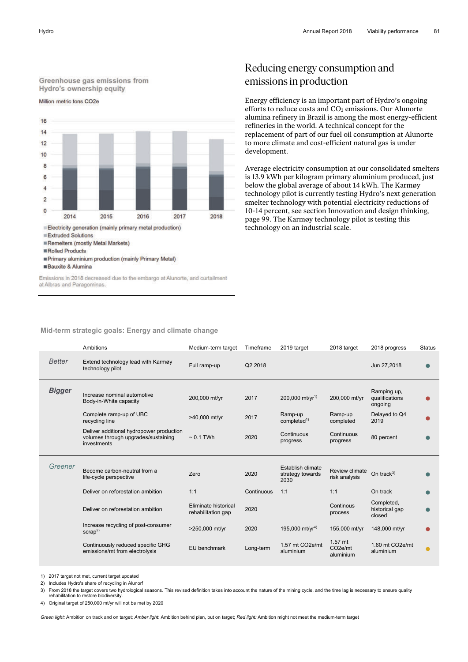

Electricity generation (mainly primary metal production)

Extruded Solutions

Remelters (mostly Metal Markets)

**ERolled Products** 

**Bauxite & Alumina** 

Emissions in 2018 decreased due to the embargo at Alunorte, and curtailment at Albras and Paragominas.

## Reducing energy consumption and emissions in production

Energy efficiency is an important part of Hydro's ongoing efforts to reduce costs and CO<sub>2</sub> emissions. Our Alunorte alumina refinery in Brazil is among the most energy-efficient refineries in the world. A technical concept for the replacement of part of our fuel oil consumption at Alunorte to more climate and cost-efficient natural gas is under development.

Average electricity consumption at our consolidated smelters is 13.9 kWh per kilogram primary aluminium produced, just below the global average of about 14 kWh. The Karmøy technology pilot is currently testing Hydro's next generation smelter technology with potential electricity reductions of 10-14 percent, see section Innovation and design thinking, page 99. The Karmøy technology pilot is testing this technology on an industrial scale.

#### **Mid-term strategic goals: Energy and climate change**

| Ambitions<br>2019 target<br>2018 target<br>Medium-term target<br>Timeframe                                                                                                   | <b>Status</b><br>2018 progress           |  |
|------------------------------------------------------------------------------------------------------------------------------------------------------------------------------|------------------------------------------|--|
| <b>Better</b><br>Extend technology lead with Karmøy<br>Q2 2018<br>Full ramp-up<br>technology pilot                                                                           | Jun 27,2018                              |  |
| <b>Bigger</b><br>Increase nominal automotive<br>$200,000$ mt/yr <sup>1)</sup><br>200,000 mt/yr<br>2017<br>200,000 mt/yr<br>Body-in-White capacity                            | Ramping up,<br>qualifications<br>ongoing |  |
| Complete ramp-up of UBC<br>Ramp-up<br>Ramp-up<br>2017<br>>40,000 mt/yr<br>recycling line<br>completed <sup>1</sup><br>completed                                              | Delayed to Q4<br>2019                    |  |
| Deliver additional hydropower production                                                                                                                                     |                                          |  |
| Continuous<br>Continuous<br>volumes through upgrades/sustaining<br>$\sim 0.1$ TWh<br>2020<br>progress<br>progress<br>investments                                             | 80 percent                               |  |
| Greener<br>Establish climate<br>Become carbon-neutral from a<br><b>Review climate</b><br>Zero<br>2020<br>strategy towards<br>life-cycle perspective<br>risk analysis<br>2030 | On track <sup>3)</sup>                   |  |
| 1:1<br>1:1<br>Deliver on reforestation ambition<br>Continuous<br>1:1                                                                                                         | On track                                 |  |
| Continous<br>Eliminate historical<br>2020<br>Deliver on reforestation ambition<br>rehabilitation gap<br>process                                                              | Completed,<br>historical gap<br>closed   |  |
| Increase recycling of post-consumer<br>195,000 mt/yr <sup>4)</sup><br>>250,000 mt/yr<br>2020<br>155,000 mt/yr<br>scrap <sup>2</sup>                                          | 148,000 mt/yr                            |  |

1) 2017 target not met, current target updated

2) Includes Hydro's share of recycling in Alunorf

3) From 2018 the target covers two hydrological seasons. This revised definition takes into account the nature of the mining cycle, and the time lag is necessary to ensure quality rehabilitation to restore biodiversity.

4) Original target of 250,000 mt/yr will not be met by 2020

*Green light:* Ambition on track and on target; *Amber light*: Ambition behind plan, but on target; *Red light:* Ambition might not meet the medium-term target

Primary aluminium production (mainly Primary Metal)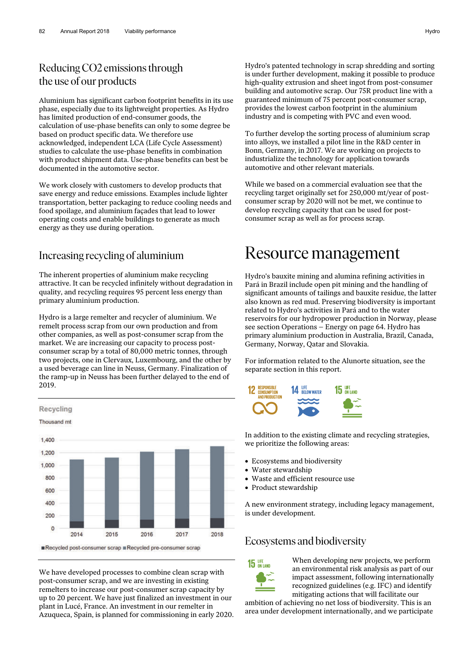## Reducing CO2 emissions through the use of our products

Aluminium has significant carbon footprint benefits in its use phase, especially due to its lightweight properties. As Hydro has limited production of end-consumer goods, the calculation of use-phase benefits can only to some degree be based on product specific data. We therefore use acknowledged, independent LCA (Life Cycle Assessment) studies to calculate the use-phase benefits in combination with product shipment data. Use-phase benefits can best be documented in the automotive sector.

We work closely with customers to develop products that save energy and reduce emissions. Examples include lighter transportation, better packaging to reduce cooling needs and food spoilage, and aluminium façades that lead to lower operating costs and enable buildings to generate as much energy as they use during operation.

## Increasing recycling of aluminium

The inherent properties of aluminium make recycling attractive. It can be recycled infinitely without degradation in quality, and recycling requires 95 percent less energy than primary aluminium production.

Hydro is a large remelter and recycler of aluminium. We remelt process scrap from our own production and from other companies, as well as post-consumer scrap from the market. We are increasing our capacity to process postconsumer scrap by a total of 80,000 metric tonnes, through two projects, one in Clervaux, Luxembourg, and the other by a used beverage can line in Neuss, Germany. Finalization of the ramp-up in Neuss has been further delayed to the end of 2019.



We have developed processes to combine clean scrap with post-consumer scrap, and we are investing in existing remelters to increase our post-consumer scrap capacity by up to 20 percent. We have just finalized an investment in our plant in Lucé, France. An investment in our remelter in Azuqueca, Spain, is planned for commissioning in early 2020. Hydro's patented technology in scrap shredding and sorting is under further development, making it possible to produce high-quality extrusion and sheet ingot from post-consumer building and automotive scrap. Our 75R product line with a guaranteed minimum of 75 percent post-consumer scrap, provides the lowest carbon footprint in the aluminium industry and is competing with PVC and even wood.

To further develop the sorting process of aluminium scrap into alloys, we installed a pilot line in the R&D center in Bonn, Germany, in 2017. We are working on projects to industrialize the technology for application towards automotive and other relevant materials.

While we based on a commercial evaluation see that the recycling target originally set for 250,000 mt/year of postconsumer scrap by 2020 will not be met, we continue to develop recycling capacity that can be used for postconsumer scrap as well as for process scrap.

# Resource management

Hydro's bauxite mining and alumina refining activities in Pará in Brazil include open pit mining and the handling of significant amounts of tailings and bauxite residue, the latter also known as red mud. Preserving biodiversity is important related to Hydro's activities in Pará and to the water reservoirs for our hydropower production in Norway, please see section Operations – Energy on page 64. Hydro has primary aluminium production in Australia, Brazil, Canada, Germany, Norway, Qatar and Slovakia.

For information related to the Alunorte situation, see the separate section in this report.



In addition to the existing climate and recycling strategies, we prioritize the following areas:

- Ecosystems and biodiversity
- Water stewardship
- Waste and efficient resource use
- Product stewardship

A new environment strategy, including legacy management, is under development.

## Ecosystems and biodiversity



When developing new projects, we perform an environmental risk analysis as part of our impact assessment, following internationally recognized guidelines (e.g. IFC) and identify mitigating actions that will facilitate our

ambition of achieving no net loss of biodiversity. This is an area under development internationally, and we participate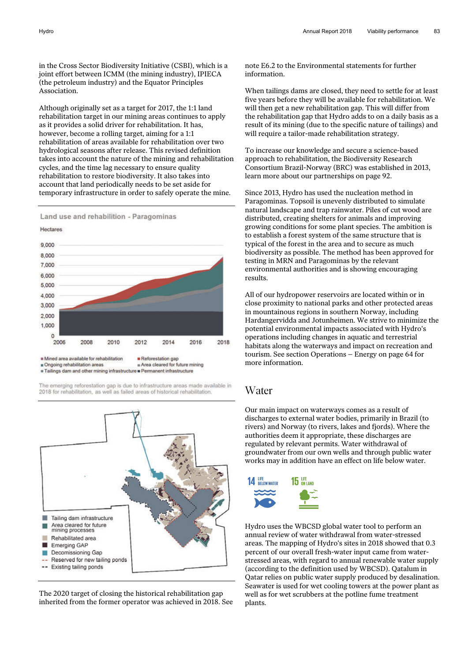in the Cross Sector Biodiversity Initiative (CSBI), which is a joint effort between ICMM (the mining industry), IPIECA (the petroleum industry) and the Equator Principles Association.

Although originally set as a target for 2017, the 1:1 land rehabilitation target in our mining areas continues to apply as it provides a solid driver for rehabilitation. It has, however, become a rolling target, aiming for a 1:1 rehabilitation of areas available for rehabilitation over two hydrological seasons after release. This revised definition takes into account the nature of the mining and rehabilitation cycles, and the time lag necessary to ensure quality rehabilitation to restore biodiversity. It also takes into account that land periodically needs to be set aside for temporary infrastructure in order to safely operate the mine.





The emerging reforestation gap is due to infrastructure areas made available in 2018 for rehabilitation, as well as failed areas of historical rehabilitation.



The 2020 target of closing the historical rehabilitation gap inherited from the former operator was achieved in 2018. See note E6.2 to the Environmental statements for further information.

When tailings dams are closed, they need to settle for at least five years before they will be available for rehabilitation. We will then get a new rehabilitation gap. This will differ from the rehabilitation gap that Hydro adds to on a daily basis as a result of its mining (due to the specific nature of tailings) and will require a tailor-made rehabilitation strategy.

To increase our knowledge and secure a science-based approach to rehabilitation, the Biodiversity Research Consortium Brazil-Norway (BRC) was established in 2013, learn more about our partnerships on page 92.

Since 2013, Hydro has used the nucleation method in Paragominas. Topsoil is unevenly distributed to simulate natural landscape and trap rainwater. Piles of cut wood are distributed, creating shelters for animals and improving growing conditions for some plant species. The ambition is to establish a forest system of the same structure that is typical of the forest in the area and to secure as much biodiversity as possible. The method has been approved for testing in MRN and Paragominas by the relevant environmental authorities and is showing encouraging results.

All of our hydropower reservoirs are located within or in close proximity to national parks and other protected areas in mountainous regions in southern Norway, including Hardangervidda and Jotunheimen. We strive to minimize the potential environmental impacts associated with Hydro's operations including changes in aquatic and terrestrial habitats along the waterways and impact on recreation and tourism. See section Operations – Energy on page 64 for more information.

#### Water

Our main impact on waterways comes as a result of discharges to external water bodies, primarily in Brazil (to rivers) and Norway (to rivers, lakes and fjords). Where the authorities deem it appropriate, these discharges are regulated by relevant permits. Water withdrawal of groundwater from our own wells and through public water works may in addition have an effect on life below water.



Hydro uses the WBCSD global water tool to perform an annual review of water withdrawal from water-stressed areas. The mapping of Hydro's sites in 2018 showed that 0.3 percent of our overall fresh-water input came from waterstressed areas, with regard to annual renewable water supply (according to the definition used by WBCSD). Qatalum in Qatar relies on public water supply produced by desalination. Seawater is used for wet cooling towers at the power plant as well as for wet scrubbers at the potline fume treatment plants.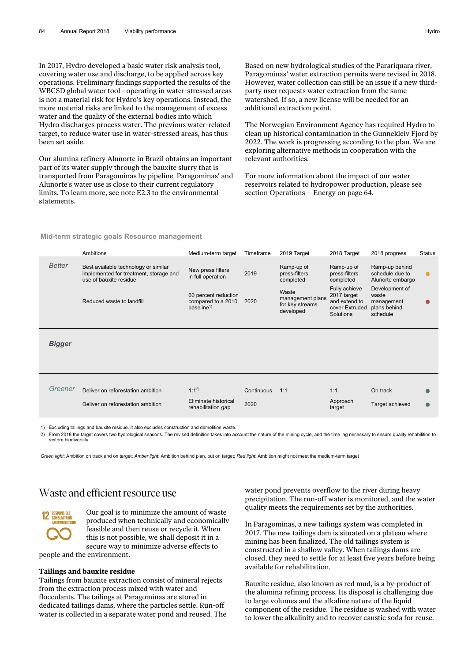In 2017, Hydro developed a basic water risk analysis tool, covering water use and discharge, to be applied across key operations. Preliminary findings supported the results of the WBCSD global water tool - operating in water-stressed areas is not a material risk for Hydro's key operations. Instead, the more material risks are linked to the management of excess water and the quality of the external bodies into which Hydro discharges process water. The previous water-related target, to reduce water use in water-stressed areas, has thus been set aside.

Our alumina refinery Alunorte in Brazil obtains an important part of its water supply through the bauxite slurry that is transported from Paragominas by pipeline. Paragominas' and Alunorte's water use is close to their current regulatory limits. To learn more, see note E2.3 to the environmental statements.

Based on new hydrological studies of the Parariquara river, Paragominas' water extraction permits were revised in 2018. However, water collection can still be an issue if a new thirdparty user requests water extraction from the same watershed. If so, a new license will be needed for an additional extraction point.

The Norwegian Environment Agency has required Hydro to clean up historical contamination in the Gunnekleiv Fjord by 2022. The work is progressing according to the plan. We are exploring alternative methods in cooperation with the relevant authorities.

For more information about the impact of our water reservoirs related to hydropower production, please see section Operations – Energy on page 64.

|               | Ambitions                                                                                                | Medium-term target                                                                | Timeframe          | 2019 Target                                               | 2018 Target                                                                  | 2018 progress                                                     | <b>Status</b> |  |
|---------------|----------------------------------------------------------------------------------------------------------|-----------------------------------------------------------------------------------|--------------------|-----------------------------------------------------------|------------------------------------------------------------------------------|-------------------------------------------------------------------|---------------|--|
| <b>Better</b> | Best available technology or similar<br>implemented for treatment, storage and<br>use of bauxite residue | New press filters<br>in full operation                                            | 2019               | Ramp-up of<br>press-filters<br>completed                  | Ramp-up of<br>press-filters<br>completed                                     | Ramp-up behind<br>schedule due to<br>Alunorte embargo             | $\bullet$     |  |
|               | Reduced waste to landfill                                                                                | 60 percent reduction<br>compared to a 2010<br>baseline <sup><math>1)</math></sup> | 2020               | Waste<br>management plans<br>for key streams<br>developed | Fully achieve<br>2017 target<br>and extend to<br>cover Extruded<br>Solutions | Development of<br>waste<br>management<br>plans behind<br>schedule |               |  |
| <b>Bigger</b> |                                                                                                          |                                                                                   |                    |                                                           |                                                                              |                                                                   |               |  |
| Greener       | Deliver on reforestation ambition<br>Deliver on reforestation ambition                                   | $1:1^{2}$<br>Eliminate historical<br>rehabilitation gap                           | Continuous<br>2020 | 1:1                                                       | 1:1<br>Approach<br>target                                                    | On track<br>Target achieved                                       |               |  |
|               |                                                                                                          |                                                                                   |                    |                                                           |                                                                              |                                                                   |               |  |

**Mid-term strategic goals Resource management** 

1) Excluding tailings and bauxite residue. It also excludes construction and demolition waste.

2) From 2018 the target covers two hydrological seasons. The revised definition takes into account the nature of the mining cycle, and the time lag necessary to ensure quality rehabilition to restore biodiversity.

*Green light*: Ambition on track and on target; *Amber light*: Ambition behind plan, but on target; *Red light*: Ambition might not meet the medium-term target

# Waste and efficient resource use



Our goal is to minimize the amount of waste produced when technically and economically feasible and then reuse or recycle it. When this is not possible, we shall deposit it in a secure way to minimize adverse effects to people and the environment.

#### **Tailings and bauxite residue**

Tailings from bauxite extraction consist of mineral rejects from the extraction process mixed with water and flocculants. The tailings at Paragominas are stored in dedicated tailings dams, where the particles settle. Run-off water is collected in a separate water pond and reused. The water pond prevents overflow to the river during heavy precipitation. The run-off water is monitored, and the water quality meets the requirements set by the authorities.

In Paragominas, a new tailings system was completed in 2017. The new tailings dam is situated on a plateau where mining has been finalized. The old tailings system is constructed in a shallow valley. When tailings dams are closed, they need to settle for at least five years before being available for rehabilitation.

Bauxite residue, also known as red mud, is a by-product of the alumina refining process. Its disposal is challenging due to large volumes and the alkaline nature of the liquid component of the residue. The residue is washed with water to lower the alkalinity and to recover caustic soda for reuse.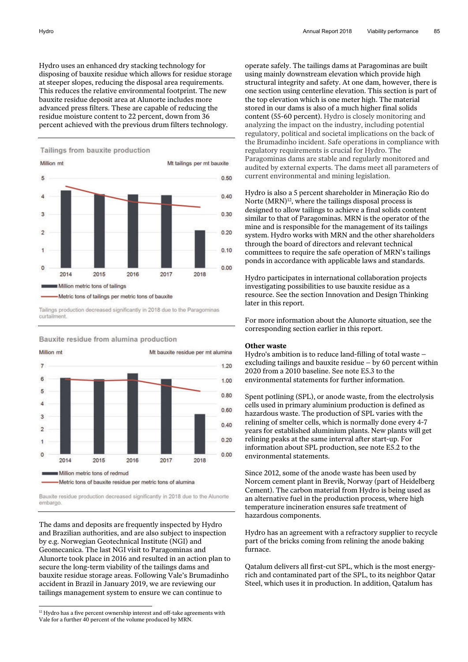Hydro uses an enhanced dry stacking technology for disposing of bauxite residue which allows for residue storage at steeper slopes, reducing the disposal area requirements. This reduces the relative environmental footprint. The new bauxite residue deposit area at Alunorte includes more advanced press filters. These are capable of reducing the residue moisture content to 22 percent, down from 36 percent achieved with the previous drum filters technology.

Tailings from bauxite production



Tailings production decreased significantly in 2018 due to the Paragominas curtailment



Bauxite residue from alumina production

Bauxite residue production decreased significantly in 2018 due to the Alunorte embargo

The dams and deposits are frequently inspected by Hydro and Brazilian authorities, and are also subject to inspection by e.g. Norwegian Geotechnical Institute (NGI) and Geomecanica. The last NGI visit to Paragominas and Alunorte took place in 2016 and resulted in an action plan to secure the long-term viability of the tailings dams and bauxite residue storage areas. Following Vale's Brumadinho accident in Brazil in January 2019, we are reviewing our tailings management system to ensure we can continue to

 $\overline{a}$ 

operate safely. The tailings dams at Paragominas are built using mainly downstream elevation which provide high structural integrity and safety. At one dam, however, there is one section using centerline elevation. This section is part of the top elevation which is one meter high. The material stored in our dams is also of a much higher final solids content (55-60 percent). Hydro is closely monitoring and analyzing the impact on the industry, including potential regulatory, political and societal implications on the back of the Brumadinho incident. Safe operations in compliance with regulatory requirements is crucial for Hydro. The Paragominas dams are stable and regularly monitored and audited by external experts. The dams meet all parameters of current environmental and mining legislation.

Hydro is also a 5 percent shareholder in Mineração Rio do Norte (MRN)<sup>12</sup>, where the tailings disposal process is designed to allow tailings to achieve a final solids content similar to that of Paragominas. MRN is the operator of the mine and is responsible for the management of its tailings system. Hydro works with MRN and the other shareholders through the board of directors and relevant technical committees to require the safe operation of MRN's tailings ponds in accordance with applicable laws and standards.

Hydro participates in international collaboration projects investigating possibilities to use bauxite residue as a resource. See the section Innovation and Design Thinking later in this report.

For more information about the Alunorte situation, see the corresponding section earlier in this report.

#### **Other waste**

Hydro's ambition is to reduce land-filling of total waste – excluding tailings and bauxite residue – by 60 percent within 2020 from a 2010 baseline. See note E5.3 to the environmental statements for further information.

Spent potlining (SPL), or anode waste, from the electrolysis cells used in primary aluminium production is defined as hazardous waste. The production of SPL varies with the relining of smelter cells, which is normally done every 4-7 years for established aluminium plants. New plants will get relining peaks at the same interval after start-up. For information about SPL production, see note E5.2 to the environmental statements.

Since 2012, some of the anode waste has been used by Norcem cement plant in Brevik, Norway (part of Heidelberg Cement). The carbon material from Hydro is being used as an alternative fuel in the production process, where high temperature incineration ensures safe treatment of hazardous components.

Hydro has an agreement with a refractory supplier to recycle part of the bricks coming from relining the anode baking furnace.

Qatalum delivers all first-cut SPL, which is the most energyrich and contaminated part of the SPL, to its neighbor Qatar Steel, which uses it in production. In addition, Qatalum has

 $12$  Hydro has a five percent ownership interest and off-take agreements with Vale for a further 40 percent of the volume produced by MRN.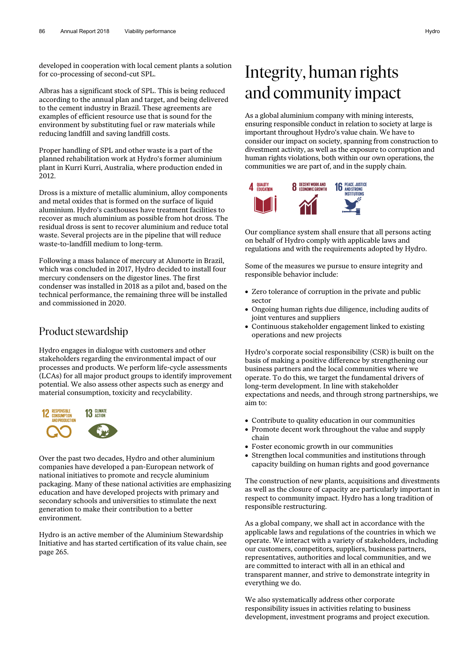developed in cooperation with local cement plants a solution for co-processing of second-cut SPL.

Albras has a significant stock of SPL. This is being reduced according to the annual plan and target, and being delivered to the cement industry in Brazil. These agreements are examples of efficient resource use that is sound for the environment by substituting fuel or raw materials while reducing landfill and saving landfill costs.

Proper handling of SPL and other waste is a part of the planned rehabilitation work at Hydro's former aluminium plant in Kurri Kurri, Australia, where production ended in 2012.

Dross is a mixture of metallic aluminium, alloy components and metal oxides that is formed on the surface of liquid aluminium. Hydro's casthouses have treatment facilities to recover as much aluminium as possible from hot dross. The residual dross is sent to recover aluminium and reduce total waste. Several projects are in the pipeline that will reduce waste-to-landfill medium to long-term.

Following a mass balance of mercury at Alunorte in Brazil, which was concluded in 2017, Hydro decided to install four mercury condensers on the digestor lines. The first condenser was installed in 2018 as a pilot and, based on the technical performance, the remaining three will be installed and commissioned in 2020.

#### Product stewardship

Hydro engages in dialogue with customers and other stakeholders regarding the environmental impact of our processes and products. We perform life-cycle assessments (LCAs) for all major product groups to identify improvement potential. We also assess other aspects such as energy and material consumption, toxicity and recyclability.



Over the past two decades, Hydro and other aluminium companies have developed a pan-European network of national initiatives to promote and recycle aluminium packaging. Many of these national activities are emphasizing education and have developed projects with primary and secondary schools and universities to stimulate the next generation to make their contribution to a better environment.

Hydro is an active member of the Aluminium Stewardship Initiative and has started certification of its value chain, see page 265.

# Integrity, human rights and community impact

As a global aluminium company with mining interests, ensuring responsible conduct in relation to society at large is important throughout Hydro's value chain. We have to consider our impact on society, spanning from construction to divestment activity, as well as the exposure to corruption and human rights violations, both within our own operations, the communities we are part of, and in the supply chain.



Our compliance system shall ensure that all persons acting on behalf of Hydro comply with applicable laws and regulations and with the requirements adopted by Hydro.

Some of the measures we pursue to ensure integrity and responsible behavior include:

- Zero tolerance of corruption in the private and public sector
- Ongoing human rights due diligence, including audits of joint ventures and suppliers
- Continuous stakeholder engagement linked to existing operations and new projects

Hydro's corporate social responsibility (CSR) is built on the basis of making a positive difference by strengthening our business partners and the local communities where we operate. To do this, we target the fundamental drivers of long-term development. In line with stakeholder expectations and needs, and through strong partnerships, we aim to:

- Contribute to quality education in our communities
- Promote decent work throughout the value and supply chain
- Foster economic growth in our communities
- Strengthen local communities and institutions through capacity building on human rights and good governance

The construction of new plants, acquisitions and divestments as well as the closure of capacity are particularly important in respect to community impact. Hydro has a long tradition of responsible restructuring.

As a global company, we shall act in accordance with the applicable laws and regulations of the countries in which we operate. We interact with a variety of stakeholders, including our customers, competitors, suppliers, business partners, representatives, authorities and local communities, and we are committed to interact with all in an ethical and transparent manner, and strive to demonstrate integrity in everything we do.

We also systematically address other corporate responsibility issues in activities relating to business development, investment programs and project execution.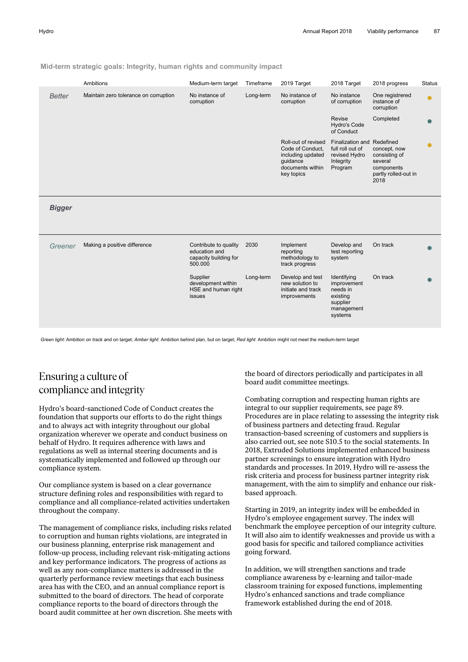**Mid-term strategic goals: Integrity, human rights and community impact** 

|               | Ambitions                             | Medium-term target                                                         | Timeframe | 2019 Target                                                                                                | 2018 Target                                                                             | 2018 progress                                                                          | <b>Status</b> |
|---------------|---------------------------------------|----------------------------------------------------------------------------|-----------|------------------------------------------------------------------------------------------------------------|-----------------------------------------------------------------------------------------|----------------------------------------------------------------------------------------|---------------|
| <b>Better</b> | Maintain zero tolerance on corruption | No instance of<br>corruption                                               | Long-term | No instance of<br>corruption                                                                               | No instance<br>of corruption                                                            | One registrered<br>instance of<br>corruption                                           | $\bullet$     |
|               |                                       |                                                                            |           |                                                                                                            | Revise<br><b>Hydro's Code</b><br>of Conduct                                             | Completed                                                                              |               |
|               |                                       |                                                                            |           | Roll-out of revised<br>Code of Conduct,<br>including updated<br>quidance<br>documents within<br>key topics | Finalization and Redefined<br>full roll out of<br>revised Hydro<br>Integrity<br>Program | concept, now<br>consisting of<br>several<br>components<br>partly rolled-out in<br>2018 | ●             |
| <b>Bigger</b> |                                       |                                                                            |           |                                                                                                            |                                                                                         |                                                                                        |               |
| Greener       | Making a positive difference          | Contribute to quality<br>education and<br>capacity building for<br>500.000 | 2030      | Implement<br>reporting<br>methodology to<br>track progress                                                 | Develop and<br>test reporting<br>system                                                 | On track                                                                               |               |
|               |                                       | Supplier<br>development within<br>HSE and human right<br>issues            | Long-term | Develop and test<br>new solution to<br>initiate and track<br>improvements                                  | Identifying<br>improvement<br>needs in<br>existing<br>supplier<br>management<br>systems | On track                                                                               |               |
|               |                                       |                                                                            |           |                                                                                                            |                                                                                         |                                                                                        |               |

*Green light*: Ambition on track and on target; *Amber light*: Ambition behind plan, but on target; *Red light*: Ambition might not meet the medium-term target

## Ensuring a culture of compliance and integrity

Hydro's board-sanctioned Code of Conduct creates the foundation that supports our efforts to do the right things and to always act with integrity throughout our global organization wherever we operate and conduct business on behalf of Hydro. It requires adherence with laws and regulations as well as internal steering documents and is systematically implemented and followed up through our compliance system.

Our compliance system is based on a clear governance structure defining roles and responsibilities with regard to compliance and all compliance-related activities undertaken throughout the company.

The management of compliance risks, including risks related to corruption and human rights violations, are integrated in our business planning, enterprise risk management and follow-up process, including relevant risk-mitigating actions and key performance indicators. The progress of actions as well as any non-compliance matters is addressed in the quarterly performance review meetings that each business area has with the CEO, and an annual compliance report is submitted to the board of directors. The head of corporate compliance reports to the board of directors through the board audit committee at her own discretion. She meets with the board of directors periodically and participates in all board audit committee meetings.

Combating corruption and respecting human rights are integral to our supplier requirements, see page 89. Procedures are in place relating to assessing the integrity risk of business partners and detecting fraud. Regular transaction-based screening of customers and suppliers is also carried out, see note S10.5 to the social statements. In 2018, Extruded Solutions implemented enhanced business partner screenings to ensure integration with Hydro standards and processes. In 2019, Hydro will re-assess the risk criteria and process for business partner integrity risk management, with the aim to simplify and enhance our riskbased approach.

Starting in 2019, an integrity index will be embedded in Hydro's employee engagement survey. The index will benchmark the employee perception of our integrity culture. It will also aim to identify weaknesses and provide us with a good basis for specific and tailored compliance activities going forward.

In addition, we will strengthen sanctions and trade compliance awareness by e-learning and tailor-made classroom training for exposed functions, implementing Hydro's enhanced sanctions and trade compliance framework established during the end of 2018.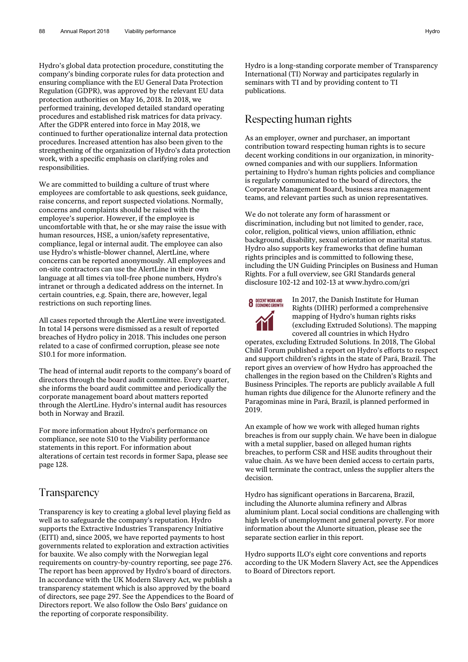Hydro's global data protection procedure, constituting the company's binding corporate rules for data protection and ensuring compliance with the EU General Data Protection Regulation (GDPR), was approved by the relevant EU data protection authorities on May 16, 2018. In 2018, we performed training, developed detailed standard operating procedures and established risk matrices for data privacy. After the GDPR entered into force in May 2018, we continued to further operationalize internal data protection procedures. Increased attention has also been given to the strengthening of the organization of Hydro's data protection work, with a specific emphasis on clarifying roles and responsibilities.

We are committed to building a culture of trust where employees are comfortable to ask questions, seek guidance, raise concerns, and report suspected violations. Normally, concerns and complaints should be raised with the employee's superior. However, if the employee is uncomfortable with that, he or she may raise the issue with human resources, HSE, a union/safety representative, compliance, legal or internal audit. The employee can also use Hydro's whistle-blower channel, AlertLine, where concerns can be reported anonymously. All employees and on-site contractors can use the AlertLine in their own language at all times via toll-free phone numbers, Hydro's intranet or through a dedicated address on the internet. In certain countries, e.g. Spain, there are, however, legal restrictions on such reporting lines.

All cases reported through the AlertLine were investigated. In total 14 persons were dismissed as a result of reported breaches of Hydro policy in 2018. This includes one person related to a case of confirmed corruption, please see note S10.1 for more information.

The head of internal audit reports to the company's board of directors through the board audit committee. Every quarter, she informs the board audit committee and periodically the corporate management board about matters reported through the AlertLine. Hydro's internal audit has resources both in Norway and Brazil.

For more information about Hydro's performance on compliance, see note S10 to the Viability performance statements in this report. For information about alterations of certain test records in former Sapa, please see page 128.

#### Transparency

Transparency is key to creating a global level playing field as well as to safeguarde the company's reputation. Hydro supports the Extractive Industries Transparency Initiative (EITI) and, since 2005, we have reported payments to host governments related to exploration and extraction activities for bauxite. We also comply with the Norwegian legal requirements on country-by-country reporting, see page 276. The report has been approved by Hydro's board of directors. In accordance with the UK Modern Slavery Act, we publish a transparency statement which is also approved by the board of directors, see page 297. See the Appendices to the Board of Directors report. We also follow the Oslo Børs' guidance on the reporting of corporate responsibility.

Hydro is a long-standing corporate member of Transparency International (TI) Norway and participates regularly in seminars with TI and by providing content to TI publications.

#### Respecting human rights

As an employer, owner and purchaser, an important contribution toward respecting human rights is to secure decent working conditions in our organization, in minorityowned companies and with our suppliers. Information pertaining to Hydro's human rights policies and compliance is regularly communicated to the board of directors, the Corporate Management Board, business area management teams, and relevant parties such as union representatives.

We do not tolerate any form of harassment or discrimination, including but not limited to gender, race, color, religion, political views, union affiliation, ethnic background, disability, sexual orientation or marital status. Hydro also supports key frameworks that define human rights principles and is committed to following these, including the UN Guiding Principles on Business and Human Rights. For a full overview, see GRI Standards general disclosure 102-12 and 102-13 at www.hydro.com/gri



In 2017, the Danish Institute for Human Rights (DIHR) performed a comprehensive mapping of Hydro's human rights risks (excluding Extruded Solutions). The mapping covered all countries in which Hydro

operates, excluding Extruded Solutions. In 2018, The Global Child Forum published a report on Hydro's efforts to respect and support children's rights in the state of Pará, Brazil. The report gives an overview of how Hydro has approached the challenges in the region based on the Children's Rights and Business Principles. The reports are publicly available A full human rights due diligence for the Alunorte refinery and the Paragominas mine in Pará, Brazil, is planned performed in 2019.

An example of how we work with alleged human rights breaches is from our supply chain. We have been in dialogue with a metal supplier, based on alleged human rights breaches, to perform CSR and HSE audits throughout their value chain. As we have been denied access to certain parts, we will terminate the contract, unless the supplier alters the decision.

Hydro has significant operations in Barcarena, Brazil, including the Alunorte alumina refinery and Albras aluminium plant. Local social conditions are challenging with high levels of unemployment and general poverty. For more information about the Alunorte situation, please see the separate section earlier in this report.

Hydro supports ILO's eight core conventions and reports according to the UK Modern Slavery Act, see the Appendices to Board of Directors report.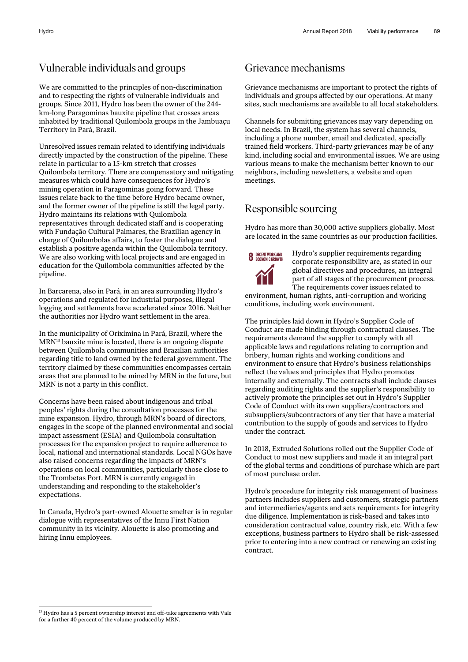## Vulnerable individuals and groups

We are committed to the principles of non-discrimination and to respecting the rights of vulnerable individuals and groups. Since 2011, Hydro has been the owner of the 244 km-long Paragominas bauxite pipeline that crosses areas inhabited by traditional Quilombola groups in the Jambuaçu Territory in Pará, Brazil.

Unresolved issues remain related to identifying individuals directly impacted by the construction of the pipeline. These relate in particular to a 15-km stretch that crosses Quilombola territory. There are compensatory and mitigating measures which could have consequences for Hydro's mining operation in Paragominas going forward. These issues relate back to the time before Hydro became owner, and the former owner of the pipeline is still the legal party. Hydro maintains its relations with Quilombola representatives through dedicated staff and is cooperating with Fundação Cultural Palmares, the Brazilian agency in charge of Quilombolas affairs, to foster the dialogue and establish a positive agenda within the Quilombola territory. We are also working with local projects and are engaged in education for the Quilombola communities affected by the pipeline.

In Barcarena, also in Pará, in an area surrounding Hydro's operations and regulated for industrial purposes, illegal logging and settlements have accelerated since 2016. Neither the authorities nor Hydro want settlement in the area.

In the municipality of Orixímina in Pará, Brazil, where the MRN13 bauxite mine is located, there is an ongoing dispute between Quilombola communities and Brazilian authorities regarding title to land owned by the federal government. The territory claimed by these communities encompasses certain areas that are planned to be mined by MRN in the future, but MRN is not a party in this conflict.

Concerns have been raised about indigenous and tribal peoples' rights during the consultation processes for the mine expansion. Hydro, through MRN's board of directors, engages in the scope of the planned environmental and social impact assessment (ESIA) and Quilombola consultation processes for the expansion project to require adherence to local, national and international standards. Local NGOs have also raised concerns regarding the impacts of MRN's operations on local communities, particularly those close to the Trombetas Port. MRN is currently engaged in understanding and responding to the stakeholder's expectations.

In Canada, Hydro's part-owned Alouette smelter is in regular dialogue with representatives of the Innu First Nation community in its vicinity. Alouette is also promoting and hiring Innu employees.

## Grievance mechanisms

Grievance mechanisms are important to protect the rights of individuals and groups affected by our operations. At many sites, such mechanisms are available to all local stakeholders.

Channels for submitting grievances may vary depending on local needs. In Brazil, the system has several channels, including a phone number, email and dedicated, specially trained field workers. Third-party grievances may be of any kind, including social and environmental issues. We are using various means to make the mechanism better known to our neighbors, including newsletters, a website and open meetings.

## Responsible sourcing

Hydro has more than 30,000 active suppliers globally. Most are located in the same countries as our production facilities.



Hydro's supplier requirements regarding corporate responsibility are, as stated in our global directives and procedures, an integral part of all stages of the procurement process. The requirements cover issues related to

environment, human rights, anti-corruption and working conditions, including work environment.

The principles laid down in Hydro's Supplier Code of Conduct are made binding through contractual clauses. The requirements demand the supplier to comply with all applicable laws and regulations relating to corruption and bribery, human rights and working conditions and environment to ensure that Hydro's business relationships reflect the values and principles that Hydro promotes internally and externally. The contracts shall include clauses regarding auditing rights and the supplier's responsibility to actively promote the principles set out in Hydro's Supplier Code of Conduct with its own suppliers/contractors and subsuppliers/subcontractors of any tier that have a material contribution to the supply of goods and services to Hydro under the contract.

In 2018, Extruded Solutions rolled out the Supplier Code of Conduct to most new suppliers and made it an integral part of the global terms and conditions of purchase which are part of most purchase order.

Hydro's procedure for integrity risk management of business partners includes suppliers and customers, strategic partners and intermediaries/agents and sets requirements for integrity due diligence. Implementation is risk-based and takes into consideration contractual value, country risk, etc. With a few exceptions, business partners to Hydro shall be risk-assessed prior to entering into a new contract or renewing an existing contract.

 $\overline{a}$ 

<sup>&</sup>lt;sup>13</sup> Hydro has a 5 percent ownership interest and off-take agreements with Vale for a further 40 percent of the volume produced by MRN.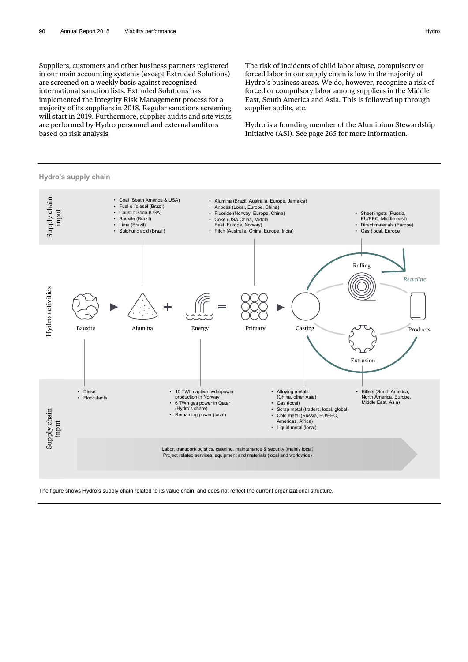Suppliers, customers and other business partners registered in our main accounting systems (except Extruded Solutions) are screened on a weekly basis against recognized international sanction lists. Extruded Solutions has implemented the Integrity Risk Management process for a majority of its suppliers in 2018. Regular sanctions screening will start in 2019. Furthermore, supplier audits and site visits are performed by Hydro personnel and external auditors based on risk analysis.

The risk of incidents of child labor abuse, compulsory or forced labor in our supply chain is low in the majority of Hydro's business areas. We do, however, recognize a risk of forced or compulsory labor among suppliers in the Middle East, South America and Asia. This is followed up through supplier audits, etc.

Hydro is a founding member of the Aluminium Stewardship Initiative (ASI). See page 265 for more information.



# **Hydro's supply chain**



The figure shows Hydro's supply chain related to its value chain, and does not reflect the current organizational structure.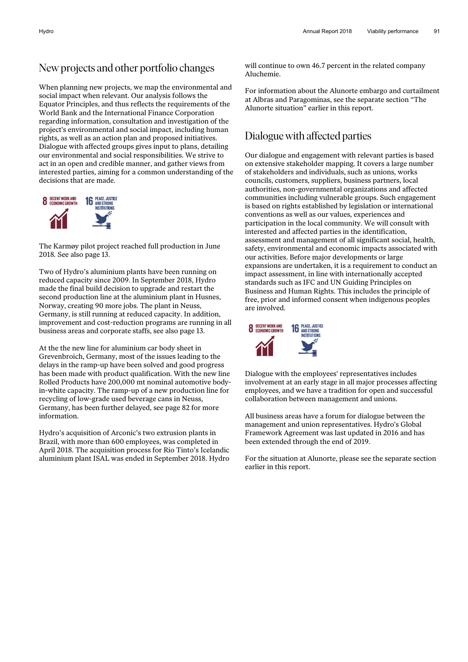#### New projects and other portfolio changes

When planning new projects, we map the environmental and social impact when relevant. Our analysis follows the Equator Principles, and thus reflects the requirements of the World Bank and the International Finance Corporation regarding information, consultation and investigation of the project's environmental and social impact, including human rights, as well as an action plan and proposed initiatives. Dialogue with affected groups gives input to plans, detailing our environmental and social responsibilities. We strive to act in an open and credible manner, and gather views from interested parties, aiming for a common understanding of the decisions that are made.



The Karmøy pilot project reached full production in June 2018*.* See also page 13.

Two of Hydro's aluminium plants have been running on reduced capacity since 2009. In September 2018, Hydro made the final build decision to upgrade and restart the second production line at the aluminium plant in Husnes, Norway, creating 90 more jobs. The plant in Neuss, Germany, is still running at reduced capacity. In addition, improvement and cost-reduction programs are running in all business areas and corporate staffs, see also page 13.

At the the new line for aluminium car body sheet in Grevenbroich, Germany, most of the issues leading to the delays in the ramp-up have been solved and good progress has been made with product qualification. With the new line Rolled Products have 200,000 mt nominal automotive bodyin-white capacity. The ramp-up of a new production line for recycling of low-grade used beverage cans in Neuss, Germany, has been further delayed, see page 82 for more information.

Hydro's acquisition of Arconic's two extrusion plants in Brazil, with more than 600 employees, was completed in April 2018. The acquisition process for Rio Tinto's Icelandic aluminium plant ISAL was ended in September 2018. Hydro will continue to own 46.7 percent in the related company Aluchemie.

For information about the Alunorte embargo and curtailment at Albras and Paragominas, see the separate section "The Alunorte situation" earlier in this report.

#### Dialogue with affected parties

Our dialogue and engagement with relevant parties is based on extensive stakeholder mapping. It covers a large number of stakeholders and individuals, such as unions, works councils, customers, suppliers, business partners, local authorities, non-governmental organizations and affected communities including vulnerable groups. Such engagement is based on rights established by legislation or international conventions as well as our values, experiences and participation in the local community. We will consult with interested and affected parties in the identification, assessment and management of all significant social, health, safety, environmental and economic impacts associated with our activities. Before major developments or large expansions are undertaken, it is a requirement to conduct an impact assessment, in line with internationally accepted standards such as IFC and UN Guiding Principles on Business and Human Rights. This includes the principle of free, prior and informed consent when indigenous peoples are involved.



Dialogue with the employees' representatives includes involvement at an early stage in all major processes affecting employees, and we have a tradition for open and successful collaboration between management and unions.

All business areas have a forum for dialogue between the management and union representatives. Hydro's Global Framework Agreement was last updated in 2016 and has been extended through the end of 2019.

For the situation at Alunorte, please see the separate section earlier in this report.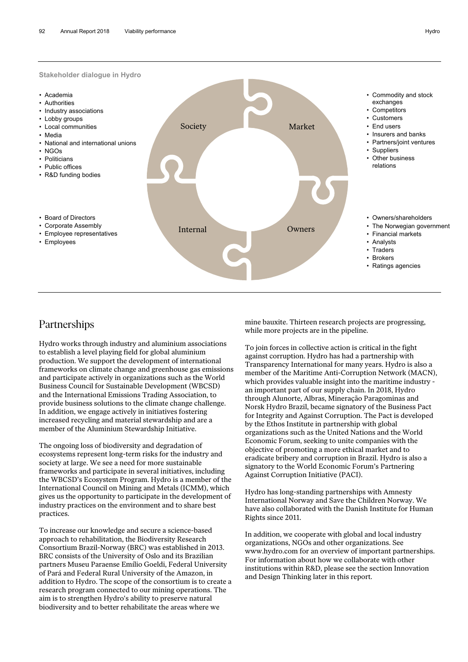

## Partnerships

Hydro works through industry and aluminium associations to establish a level playing field for global aluminium production. We support the development of international frameworks on climate change and greenhouse gas emissions and participate actively in organizations such as the World Business Council for Sustainable Development (WBCSD) and the International Emissions Trading Association, to provide business solutions to the climate change challenge. In addition, we engage actively in initiatives fostering increased recycling and material stewardship and are a member of the Aluminium Stewardship Initiative.

The ongoing loss of biodiversity and degradation of ecosystems represent long-term risks for the industry and society at large. We see a need for more sustainable frameworks and participate in several initiatives, including the WBCSD's Ecosystem Program. Hydro is a member of the International Council on Mining and Metals (ICMM), which gives us the opportunity to participate in the development of industry practices on the environment and to share best practices.

To increase our knowledge and secure a science-based approach to rehabilitation, the Biodiversity Research Consortium Brazil-Norway (BRC) was established in 2013. BRC consists of the University of Oslo and its Brazilian partners Museu Paraense Emílio Goeldi, Federal University of Pará and Federal Rural University of the Amazon, in addition to Hydro. The scope of the consortium is to create a research program connected to our mining operations. The aim is to strengthen Hydro's ability to preserve natural biodiversity and to better rehabilitate the areas where we

mine bauxite. Thirteen research projects are progressing, while more projects are in the pipeline.

To join forces in collective action is critical in the fight against corruption. Hydro has had a partnership with Transparency International for many years. Hydro is also a member of the Maritime Anti-Corruption Network (MACN), which provides valuable insight into the maritime industry an important part of our supply chain. In 2018, Hydro through Alunorte, Albras, Mineração Paragominas and Norsk Hydro Brazil, became signatory of the Business Pact for Integrity and Against Corruption. The Pact is developed by the Ethos Institute in partnership with global organizations such as the United Nations and the World Economic Forum, seeking to unite companies with the objective of promoting a more ethical market and to eradicate bribery and corruption in Brazil. Hydro is also a signatory to the World Economic Forum's Partnering Against Corruption Initiative (PACI).

Hydro has long-standing partnerships with Amnesty International Norway and Save the Children Norway. We have also collaborated with the Danish Institute for Human Rights since 2011.

In addition, we cooperate with global and local industry organizations, NGOs and other organizations. See www.hydro.com for an overview of important partnerships. For information about how we collaborate with other institutions within R&D, please see the section Innovation and Design Thinking later in this report.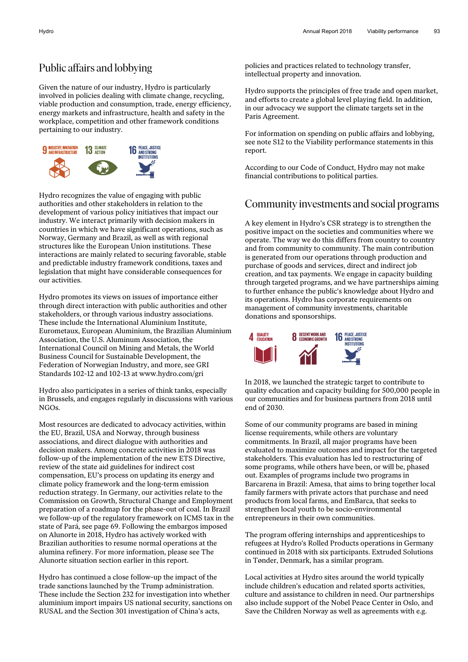#### Public affairs and lobbying

Given the nature of our industry, Hydro is particularly involved in policies dealing with climate change, recycling, viable production and consumption, trade, energy efficiency, energy markets and infrastructure, health and safety in the workplace, competition and other framework conditions pertaining to our industry.



Hydro recognizes the value of engaging with public authorities and other stakeholders in relation to the development of various policy initiatives that impact our industry. We interact primarily with decision makers in countries in which we have significant operations, such as Norway, Germany and Brazil, as well as with regional structures like the European Union institutions. These interactions are mainly related to securing favorable, stable and predictable industry framework conditions, taxes and legislation that might have considerable consequences for our activities.

Hydro promotes its views on issues of importance either through direct interaction with public authorities and other stakeholders, or through various industry associations. These include the International Aluminium Institute, Eurometaux, European Aluminium, the Brazilian Aluminium Association, the U.S. Aluminum Association, the International Council on Mining and Metals, the World Business Council for Sustainable Development, the Federation of Norwegian Industry, and more, see GRI Standards 102-12 and 102-13 at www.hydro.com/gri

Hydro also participates in a series of think tanks, especially in Brussels, and engages regularly in discussions with various NGOs.

Most resources are dedicated to advocacy activities, within the EU, Brazil, USA and Norway, through business associations, and direct dialogue with authorities and decision makers. Among concrete activities in 2018 was follow-up of the implementation of the new ETS Directive, review of the state aid guidelines for indirect cost compensation, EU's process on updating its energy and climate policy framework and the long-term emission reduction strategy. In Germany, our activities relate to the Commission on Growth, Structural Change and Employment preparation of a roadmap for the phase-out of coal. In Brazil we follow-up of the regulatory framework on ICMS tax in the state of Pará, see page 69. Following the embargos imposed on Alunorte in 2018, Hydro has actively worked with Brazilian authorities to resume normal operations at the alumina refinery. For more information, please see The Alunorte situation section earlier in this report.

Hydro has continued a close follow-up the impact of the trade sanctions launched by the Trump administration. These include the Section 232 for investigation into whether aluminium import impairs US national security, sanctions on RUSAL and the Section 301 investigation of China's acts,

policies and practices related to technology transfer, intellectual property and innovation.

Hydro supports the principles of free trade and open market, and efforts to create a global level playing field. In addition, in our advocacy we support the climate targets set in the Paris Agreement.

For information on spending on public affairs and lobbying, see note S12 to the Viability performance statements in this report.

According to our Code of Conduct, Hydro may not make financial contributions to political parties.

#### Community investments and social programs

A key element in Hydro's CSR strategy is to strengthen the positive impact on the societies and communities where we operate. The way we do this differs from country to country and from community to community. The main contribution is generated from our operations through production and purchase of goods and services, direct and indirect job creation, and tax payments. We engage in capacity building through targeted programs, and we have partnerships aiming to further enhance the public's knowledge about Hydro and its operations. Hydro has corporate requirements on management of community investments, charitable donations and sponsorships.



In 2018, we launched the strategic target to contribute to quality education and capacity building for 500,000 people in our communities and for business partners from 2018 until end of 2030.

Some of our community programs are based in mining license requirements, while others are voluntary commitments. In Brazil, all major programs have been evaluated to maximize outcomes and impact for the targeted stakeholders. This evaluation has led to restructuring of some programs, while others have been, or will be, phased out. Examples of programs include two programs in Barcarena in Brazil: Amesa, that aims to bring together local family farmers with private actors that purchase and need products from local farms, and EmBarca, that seeks to strengthen local youth to be socio-environmental entrepreneurs in their own communities.

The program offering internships and apprenticeships to refugees at Hydro's Rolled Products operations in Germany continued in 2018 with six participants. Extruded Solutions in Tønder, Denmark, has a similar program.

Local activities at Hydro sites around the world typically include children's education and related sports activities, culture and assistance to children in need. Our partnerships also include support of the Nobel Peace Center in Oslo, and Save the Children Norway as well as agreements with e.g.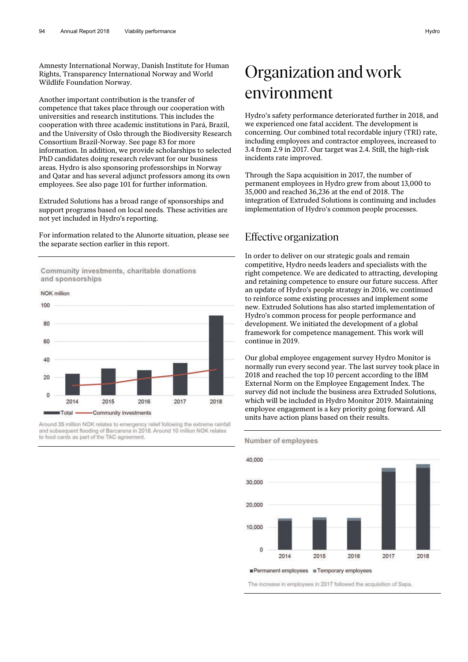Amnesty International Norway, Danish Institute for Human Rights, Transparency International Norway and World Wildlife Foundation Norway.

Another important contribution is the transfer of competence that takes place through our cooperation with universities and research institutions. This includes the cooperation with three academic institutions in Pará, Brazil, and the University of Oslo through the Biodiversity Research Consortium Brazil-Norway. See page 83 for more information. In addition, we provide scholarships to selected PhD candidates doing research relevant for our business areas. Hydro is also sponsoring professorships in Norway and Qatar and has several adjunct professors among its own employees. See also page 101 for further information.

Extruded Solutions has a broad range of sponsorships and support programs based on local needs. These activities are not yet included in Hydro's reporting.

For information related to the Alunorte situation, please see the separate section earlier in this report.

Community investments, charitable donations and sponsorships

**NOK** million



Around 35 million NOK relates to emergency relief following the extreme rainfall and subsequent flooding of Barcarena in 2018. Around 10 million NOK relates to food cards as part of the TAC agreement.

# Organization and work environment

Hydro's safety performance deteriorated further in 2018, and we experienced one fatal accident. The development is concerning. Our combined total recordable injury (TRI) rate, including employees and contractor employees, increased to 3.4 from 2.9 in 2017. Our target was 2.4. Still, the high-risk incidents rate improved.

Through the Sapa acquisition in 2017, the number of permanent employees in Hydro grew from about 13,000 to 35,000 and reached 36,236 at the end of 2018. The integration of Extruded Solutions is continuing and includes implementation of Hydro's common people processes.

#### Effective organization

Number of employees

In order to deliver on our strategic goals and remain competitive, Hydro needs leaders and specialists with the right competence. We are dedicated to attracting, developing and retaining competence to ensure our future success. After an update of Hydro's people strategy in 2016, we continued to reinforce some existing processes and implement some new. Extruded Solutions has also started implementation of Hydro's common process for people performance and development. We initiated the development of a global framework for competence management. This work will continue in 2019.

Our global employee engagement survey Hydro Monitor is normally run every second year. The last survey took place in 2018 and reached the top 10 percent according to the IBM External Norm on the Employee Engagement Index. The survey did not include the business area Extruded Solutions, which will be included in Hydro Monitor 2019. Maintaining employee engagement is a key priority going forward. All units have action plans based on their results.



The increase in employees in 2017 followed the acquisition of Sapa.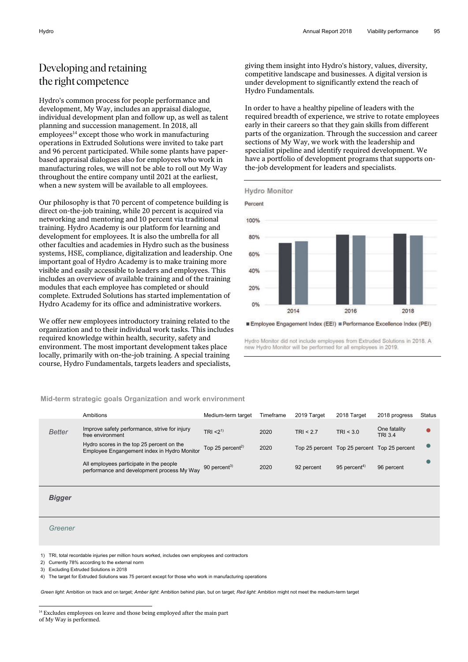## Developing and retaining the right competence

Hydro's common process for people performance and development, My Way, includes an appraisal dialogue, individual development plan and follow up, as well as talent planning and succession management. In 2018, all  $emploves<sup>14</sup> except those who work in manufacturing$ operations in Extruded Solutions were invited to take part and 96 percent participated. While some plants have paperbased appraisal dialogues also for employees who work in manufacturing roles, we will not be able to roll out My Way throughout the entire company until 2021 at the earliest, when a new system will be available to all employees.

Our philosophy is that 70 percent of competence building is direct on-the-job training, while 20 percent is acquired via networking and mentoring and 10 percent via traditional training. Hydro Academy is our platform for learning and development for employees. It is also the umbrella for all other faculties and academies in Hydro such as the business systems, HSE, compliance, digitalization and leadership. One important goal of Hydro Academy is to make training more visible and easily accessible to leaders and employees. This includes an overview of available training and of the training modules that each employee has completed or should complete. Extruded Solutions has started implementation of Hydro Academy for its office and administrative workers.

We offer new employees introductory training related to the organization and to their individual work tasks. This includes required knowledge within health, security, safety and environment. The most important development takes place locally, primarily with on-the-job training. A special training course, Hydro Fundamentals, targets leaders and specialists,

giving them insight into Hydro's history, values, diversity, competitive landscape and businesses. A digital version is under development to significantly extend the reach of Hydro Fundamentals.

In order to have a healthy pipeline of leaders with the required breadth of experience, we strive to rotate employees early in their careers so that they gain skills from different parts of the organization. Through the succession and career sections of My Way, we work with the leadership and specialist pipeline and identify required development. We have a portfolio of development programs that supports onthe-job development for leaders and specialists.



Employee Engagement Index (EEI) Performance Excellence Index (PEI)

Hydro Monitor did not include employees from Extruded Solutions in 2018. A new Hydro Monitor will be performed for all employees in 2019

#### **Mid-term strategic goals Organization and work environment**

|               | Ambitions                                                                                | Medium-term target           | Timeframe | 2019 Target | 2018 Target              | 2018 progress                                | <b>Status</b> |
|---------------|------------------------------------------------------------------------------------------|------------------------------|-----------|-------------|--------------------------|----------------------------------------------|---------------|
| <b>Better</b> | Improve safety performance, strive for injury<br>free environment                        | TRI < 2 <sup>1</sup>         | 2020      | TRI $< 2.7$ | TRI < 3.0                | One fatality<br><b>TRI 3.4</b>               |               |
|               | Hydro scores in the top 25 percent on the<br>Employee Engangement index in Hydro Monitor | Top 25 percent <sup>2)</sup> | 2020      |             |                          | Top 25 percent Top 25 percent Top 25 percent |               |
|               | All employees participate in the people<br>performance and development process My Way    | 90 percent $^{3)}$           | 2020      | 92 percent  | 95 percent <sup>4)</sup> | 96 percent                                   |               |
|               |                                                                                          |                              |           |             |                          |                                              |               |

*Bigger* 

#### *Greener*

 $\overline{a}$ 

1) TRI, total recordable injuries per million hours worked, includes own employees and contractors

2) Currently 78% according to the external norm

3) Excluding Extruded Solutions in 2018

4) The target for Extruded Solutions was 75 percent except for those who work in manufacturing operations

*Green light*: Ambition on track and on target; *Amber light*: Ambition behind plan, but on target; *Red light*: Ambition might not meet the medium-term target

<sup>&</sup>lt;sup>14</sup> Excludes employees on leave and those being employed after the main part of My Way is performed.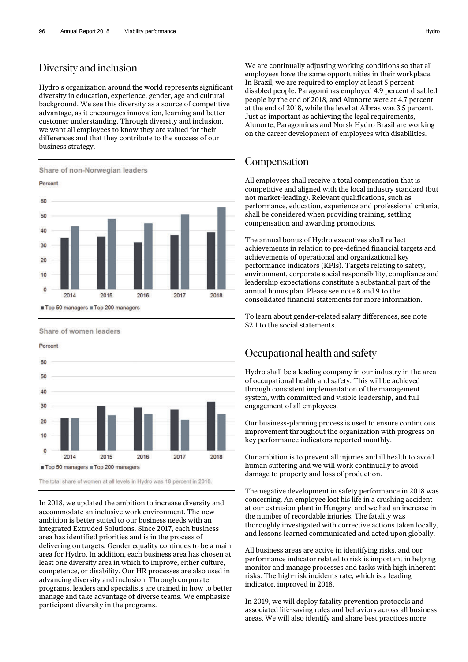#### Diversity and inclusion

Hydro's organization around the world represents significant diversity in education, experience, gender, age and cultural background. We see this diversity as a source of competitive advantage, as it encourages innovation, learning and better customer understanding. Through diversity and inclusion, we want all employees to know they are valued for their differences and that they contribute to the success of our business strategy.



Share of women leaders

Percent

![](_page_19_Figure_6.jpeg)

The total share of women at all levels in Hydro was 18 percent in 2018.

In 2018, we updated the ambition to increase diversity and accommodate an inclusive work environment. The new ambition is better suited to our business needs with an integrated Extruded Solutions. Since 2017, each business area has identified priorities and is in the process of delivering on targets. Gender equality continues to be a main area for Hydro. In addition, each business area has chosen at least one diversity area in which to improve, either culture, competence, or disability. Our HR processes are also used in advancing diversity and inclusion. Through corporate programs, leaders and specialists are trained in how to better manage and take advantage of diverse teams. We emphasize participant diversity in the programs.

We are continually adjusting working conditions so that all employees have the same opportunities in their workplace. In Brazil, we are required to employ at least 5 percent disabled people. Paragominas employed 4.9 percent disabled people by the end of 2018, and Alunorte were at 4.7 percent at the end of 2018, while the level at Albras was 3.5 percent. Just as important as achieving the legal requirements, Alunorte, Paragominas and Norsk Hydro Brasil are working on the career development of employees with disabilities.

#### Compensation

All employees shall receive a total compensation that is competitive and aligned with the local industry standard (but not market-leading). Relevant qualifications, such as performance, education, experience and professional criteria, shall be considered when providing training, settling compensation and awarding promotions.

The annual bonus of Hydro executives shall reflect achievements in relation to pre-defined financial targets and achievements of operational and organizational key performance indicators (KPIs). Targets relating to safety, environment, corporate social responsibility, compliance and leadership expectations constitute a substantial part of the annual bonus plan. Please see note 8 and 9 to the consolidated financial statements for more information.

To learn about gender-related salary differences, see note S2.1 to the social statements.

## Occupational health and safety

Hydro shall be a leading company in our industry in the area of occupational health and safety. This will be achieved through consistent implementation of the management system, with committed and visible leadership, and full engagement of all employees.

Our business-planning process is used to ensure continuous improvement throughout the organization with progress on key performance indicators reported monthly.

Our ambition is to prevent all injuries and ill health to avoid human suffering and we will work continually to avoid damage to property and loss of production.

The negative development in safety performance in 2018 was concerning. An employee lost his life in a crushing accident at our extrusion plant in Hungary, and we had an increase in the number of recordable injuries. The fatality was thoroughly investigated with corrective actions taken locally, and lessons learned communicated and acted upon globally.

All business areas are active in identifying risks, and our performance indicator related to risk is important in helping monitor and manage processes and tasks with high inherent risks. The high-risk incidents rate, which is a leading indicator, improved in 2018.

In 2019, we will deploy fatality prevention protocols and associated life-saving rules and behaviors across all business areas. We will also identify and share best practices more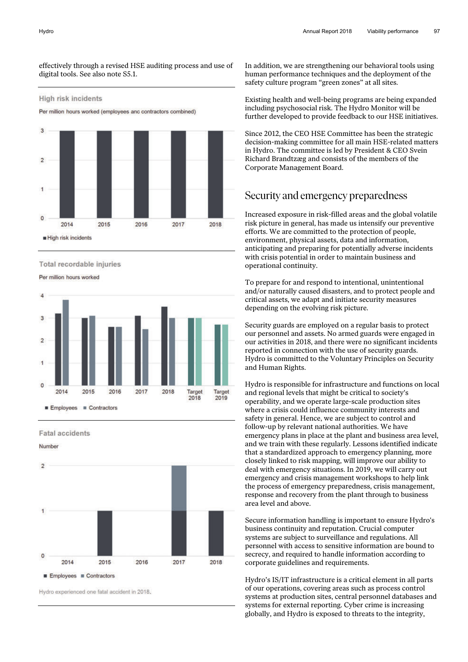effectively through a revised HSE auditing process and use of digital tools. See also note S5.1.

#### High risk incidents

Per million hours worked (employees anc contractors combined)

![](_page_20_Figure_4.jpeg)

Total recordable injuries

Per million hours worked

![](_page_20_Figure_7.jpeg)

**Fatal accidents** 

Number

![](_page_20_Figure_10.jpeg)

Hydro experienced one fatal accident in 2018.

In addition, we are strengthening our behavioral tools using human performance techniques and the deployment of the safety culture program "green zones" at all sites.

Existing health and well-being programs are being expanded including psychosocial risk. The Hydro Monitor will be further developed to provide feedback to our HSE initiatives.

Since 2012, the CEO HSE Committee has been the strategic decision-making committee for all main HSE-related matters in Hydro. The committee is led by President & CEO Svein Richard Brandtzæg and consists of the members of the Corporate Management Board.

#### Security and emergency preparedness

Increased exposure in risk-filled areas and the global volatile risk picture in general, has made us intensify our preventive efforts. We are committed to the protection of people, environment, physical assets, data and information, anticipating and preparing for potentially adverse incidents with crisis potential in order to maintain business and operational continuity.

To prepare for and respond to intentional, unintentional and/or naturally caused disasters, and to protect people and critical assets, we adapt and initiate security measures depending on the evolving risk picture.

Security guards are employed on a regular basis to protect our personnel and assets. No armed guards were engaged in our activities in 2018, and there were no significant incidents reported in connection with the use of security guards. Hydro is committed to the Voluntary Principles on Security and Human Rights.

Hydro is responsible for infrastructure and functions on local and regional levels that might be critical to society's operability, and we operate large-scale production sites where a crisis could influence community interests and safety in general. Hence, we are subject to control and follow-up by relevant national authorities. We have emergency plans in place at the plant and business area level, and we train with these regularly. Lessons identified indicate that a standardized approach to emergency planning, more closely linked to risk mapping, will improve our ability to deal with emergency situations. In 2019, we will carry out emergency and crisis management workshops to help link the process of emergency preparedness, crisis management, response and recovery from the plant through to business area level and above.

Secure information handling is important to ensure Hydro's business continuity and reputation. Crucial computer systems are subject to surveillance and regulations. All personnel with access to sensitive information are bound to secrecy, and required to handle information according to corporate guidelines and requirements.

Hydro's IS/IT infrastructure is a critical element in all parts of our operations, covering areas such as process control systems at production sites, central personnel databases and systems for external reporting. Cyber crime is increasing globally, and Hydro is exposed to threats to the integrity,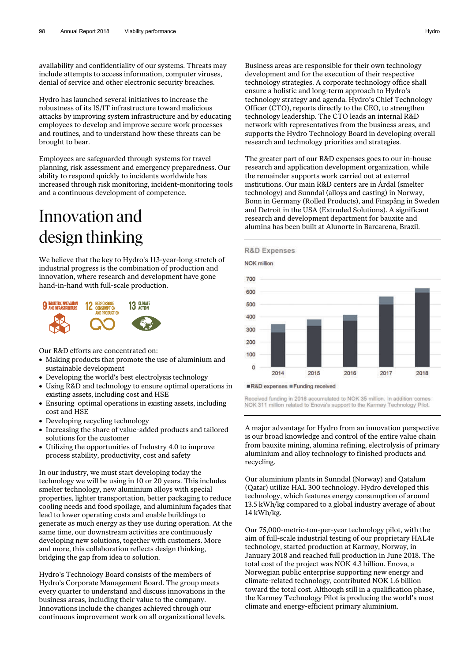availability and confidentiality of our systems. Threats may include attempts to access information, computer viruses, denial of service and other electronic security breaches.

Hydro has launched several initiatives to increase the robustness of its IS/IT infrastructure toward malicious attacks by improving system infrastructure and by educating employees to develop and improve secure work processes and routines, and to understand how these threats can be brought to bear.

Employees are safeguarded through systems for travel planning, risk assessment and emergency preparedness. Our ability to respond quickly to incidents worldwide has increased through risk monitoring, incident-monitoring tools and a continuous development of competence.

# Innovation and design thinking

We believe that the key to Hydro's 113-year-long stretch of industrial progress is the combination of production and innovation, where research and development have gone hand-in-hand with full-scale production.

![](_page_21_Figure_6.jpeg)

Our R&D efforts are concentrated on:

- Making products that promote the use of aluminium and sustainable development
- Developing the world's best electrolysis technology
- Using R&D and technology to ensure optimal operations in existing assets, including cost and HSE
- Ensuring optimal operations in existing assets, including cost and HSE
- Developing recycling technology
- Increasing the share of value-added products and tailored solutions for the customer
- Utilizing the opportunities of Industry 4.0 to improve process stability, productivity, cost and safety

In our industry, we must start developing today the technology we will be using in 10 or 20 years. This includes smelter technology, new aluminium alloys with special properties, lighter transportation, better packaging to reduce cooling needs and food spoilage, and aluminium façades that lead to lower operating costs and enable buildings to generate as much energy as they use during operation. At the same time, our downstream activities are continuously developing new solutions, together with customers. More and more, this collaboration reflects design thinking, bridging the gap from idea to solution.

Hydro's Technology Board consists of the members of Hydro's Corporate Management Board. The group meets every quarter to understand and discuss innovations in the business areas, including their value to the company. Innovations include the changes achieved through our continuous improvement work on all organizational levels. Business areas are responsible for their own technology development and for the execution of their respective technology strategies. A corporate technology office shall ensure a holistic and long-term approach to Hydro's technology strategy and agenda. Hydro's Chief Technology Officer (CTO), reports directly to the CEO, to strengthen technology leadership. The CTO leads an internal R&D network with representatives from the business areas, and supports the Hydro Technology Board in developing overall research and technology priorities and strategies.

The greater part of our R&D expenses goes to our in-house research and application development organization, while the remainder supports work carried out at external institutions. Our main R&D centers are in Årdal (smelter technology) and Sunndal (alloys and casting) in Norway, Bonn in Germany (Rolled Products), and Finspång in Sweden and Detroit in the USA (Extruded Solutions). A significant research and development department for bauxite and alumina has been built at Alunorte in Barcarena, Brazil.

![](_page_21_Figure_19.jpeg)

![](_page_21_Figure_20.jpeg)

Received funding in 2018 accumulated to NOK 35 million. In addition comes NOK 311 million related to Enova's support to the Karmøy Technology Pilot.

A major advantage for Hydro from an innovation perspective is our broad knowledge and control of the entire value chain from bauxite mining, alumina refining, electrolysis of primary aluminium and alloy technology to finished products and recycling.

Our aluminium plants in Sunndal (Norway) and Qatalum (Qatar) utilize HAL 300 technology. Hydro developed this technology, which features energy consumption of around 13.5 kWh/kg compared to a global industry average of about 14 kWh/kg.

Our 75,000-metric-ton-per-year technology pilot, with the aim of full-scale industrial testing of our proprietary HAL4e technology, started production at Karmøy, Norway, in January 2018 and reached full production in June 2018. The total cost of the project was NOK 4.3 billion. Enova, a Norwegian public enterprise supporting new energy and climate-related technology, contributed NOK 1.6 billion toward the total cost. Although still in a qualification phase, the Karmøy Technology Pilot is producing the world's most climate and energy-efficient primary aluminium.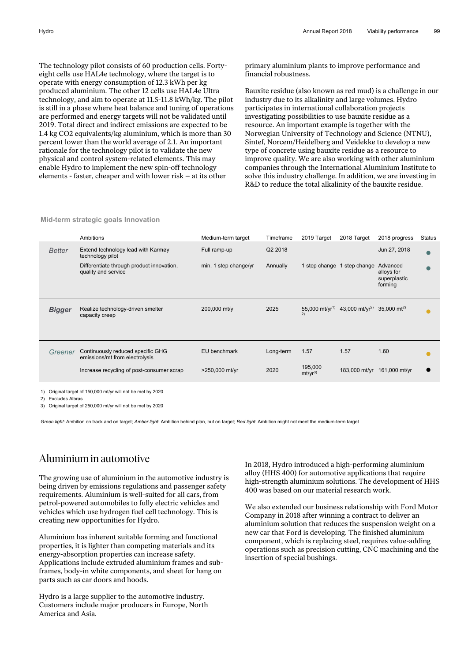The technology pilot consists of 60 production cells. Fortyeight cells use HAL4e technology, where the target is to operate with energy consumption of 12.3 kWh per kg produced aluminium. The other 12 cells use HAL4e Ultra technology, and aim to operate at 11.5-11.8 kWh/kg. The pilot is still in a phase where heat balance and tuning of operations are performed and energy targets will not be validated until 2019. Total direct and indirect emissions are expected to be 1.4 kg CO2 equivalents/kg aluminium, which is more than 30 percent lower than the world average of 2.1. An important rationale for the technology pilot is to validate the new physical and control system-related elements. This may enable Hydro to implement the new spin-off technology elements - faster, cheaper and with lower risk – at its other

primary aluminium plants to improve performance and financial robustness.

Bauxite residue (also known as red mud) is a challenge in our industry due to its alkalinity and large volumes. Hydro participates in international collaboration projects investigating possibilities to use bauxite residue as a resource. An important example is together with the Norwegian University of Technology and Science (NTNU), Sintef, Norcem/Heidelberg and Veidekke to develop a new type of concrete using bauxite residue as a resource to improve quality. We are also working with other aluminium companies through the International Aluminium Institute to solve this industry challenge. In addition, we are investing in R&D to reduce the total alkalinity of the bauxite residue.

|               | Ambitions                                                           | Medium-term target    | Timeframe | 2019 Target                   | 2018 Target                                                                   | 2018 progress                                     | <b>Status</b> |
|---------------|---------------------------------------------------------------------|-----------------------|-----------|-------------------------------|-------------------------------------------------------------------------------|---------------------------------------------------|---------------|
| <b>Better</b> | Extend technology lead with Karmøy<br>technology pilot              | Full ramp-up          | Q2 2018   |                               |                                                                               | Jun 27, 2018                                      |               |
|               | Differentiate through product innovation,<br>quality and service    | min. 1 step change/yr | Annually  |                               | 1 step change 1 step change                                                   | Advanced<br>alloys for<br>superplastic<br>forming |               |
| <b>Bigger</b> | Realize technology-driven smelter<br>capacity creep                 | 200,000 mt/y          | 2025      | 2)                            | 55,000 mt/yr <sup>1)</sup> 43,000 mt/yr <sup>2)</sup> 35,000 mt <sup>2)</sup> |                                                   |               |
| Greener       | Continuously reduced specific GHG<br>emissions/mt from electrolysis | EU benchmark          | Long-term | 1.57                          | 1.57                                                                          | 1.60                                              |               |
|               | Increase recycling of post-consumer scrap                           | >250,000 mt/yr        | 2020      | 195,000<br>mt/yr <sup>3</sup> |                                                                               | 183,000 mt/yr 161,000 mt/yr                       |               |
|               |                                                                     |                       |           |                               |                                                                               |                                                   |               |

**Mid-term strategic goals Innovation** 

1) Original target of 150,000 mt/yr will not be met by 2020

2) Excludes Albras

3) Original target of 250,000 mt/yr will not be met by 2020

*Green light*: Ambition on track and on target; *Amber light*: Ambition behind plan, but on target; *Red light*: Ambition might not meet the medium-term target

#### Aluminium in automotive

The growing use of aluminium in the automotive industry is being driven by emissions regulations and passenger safety requirements. Aluminium is well-suited for all cars, from petrol-powered automobiles to fully electric vehicles and vehicles which use hydrogen fuel cell technology. This is creating new opportunities for Hydro.

Aluminium has inherent suitable forming and functional properties, it is lighter than competing materials and its energy-absorption properties can increase safety. Applications include extruded aluminium frames and subframes, body-in white components, and sheet for hang on parts such as car doors and hoods.

Hydro is a large supplier to the automotive industry. Customers include major producers in Europe, North America and Asia.

In 2018, Hydro introduced a high-performing aluminium alloy (HHS 400) for automotive applications that require high-strength aluminium solutions. The development of HHS 400 was based on our material research work.

We also extended our business relationship with Ford Motor Company in 2018 after winning a contract to deliver an aluminium solution that reduces the suspension weight on a new car that Ford is developing. The finished aluminium component, which is replacing steel, requires value-adding operations such as precision cutting, CNC machining and the insertion of special bushings.